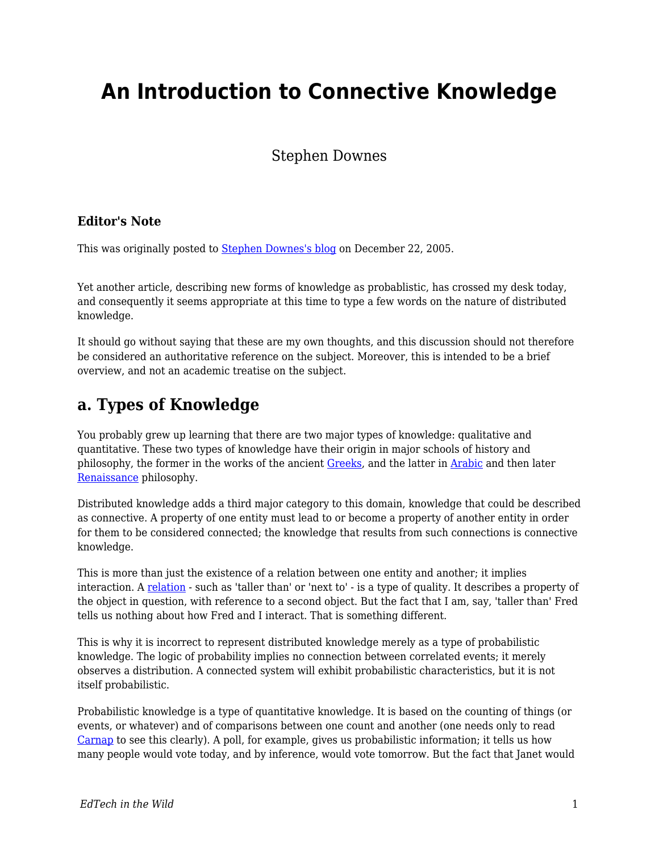# **An Introduction to Connective Knowledge**

Stephen Downes

#### **Editor's Note**

This was originally posted to **Stephen Downes's blog** on December 22, 2005.

Yet another article, describing new forms of knowledge as probablistic, has crossed my desk today, and consequently it seems appropriate at this time to type a few words on the nature of distributed knowledge.

It should go without saying that these are my own thoughts, and this discussion should not therefore be considered an authoritative reference on the subject. Moreover, this is intended to be a brief overview, and not an academic treatise on the subject.

#### **a. Types of Knowledge**

You probably grew up learning that there are two major types of knowledge: qualitative and quantitative. These two types of knowledge have their origin in major schools of history and philosophy, the former in the works of the ancient [Greeks](http://en.wikipedia.org/wiki/Aristotle), and the latter in [Arabic](http://en.wikipedia.org/wiki/Arabic_numerals) and then later [Renaissance](http://en.wikipedia.org/wiki/Descartes) philosophy.

Distributed knowledge adds a third major category to this domain, knowledge that could be described as connective. A property of one entity must lead to or become a property of another entity in order for them to be considered connected; the knowledge that results from such connections is connective knowledge.

This is more than just the existence of a relation between one entity and another; it implies interaction. A [relation](http://en.wikipedia.org/wiki/Relation) - such as 'taller than' or 'next to' - is a type of quality. It describes a property of the object in question, with reference to a second object. But the fact that I am, say, 'taller than' Fred tells us nothing about how Fred and I interact. That is something different.

This is why it is incorrect to represent distributed knowledge merely as a type of probabilistic knowledge. The logic of probability implies no connection between correlated events; it merely observes a distribution. A connected system will exhibit probabilistic characteristics, but it is not itself probabilistic.

Probabilistic knowledge is a type of quantitative knowledge. It is based on the counting of things (or events, or whatever) and of comparisons between one count and another (one needs only to read [Carnap](http://www.amazon.com/gp/product/B0006P9S8Y/qid=1135300010/sr=8-2/ref=sr_8_xs_ap_i2_xgl14/104-2666027-6354322?n=507846&s=books&v=glance) to see this clearly). A poll, for example, gives us probabilistic information; it tells us how many people would vote today, and by inference, would vote tomorrow. But the fact that Janet would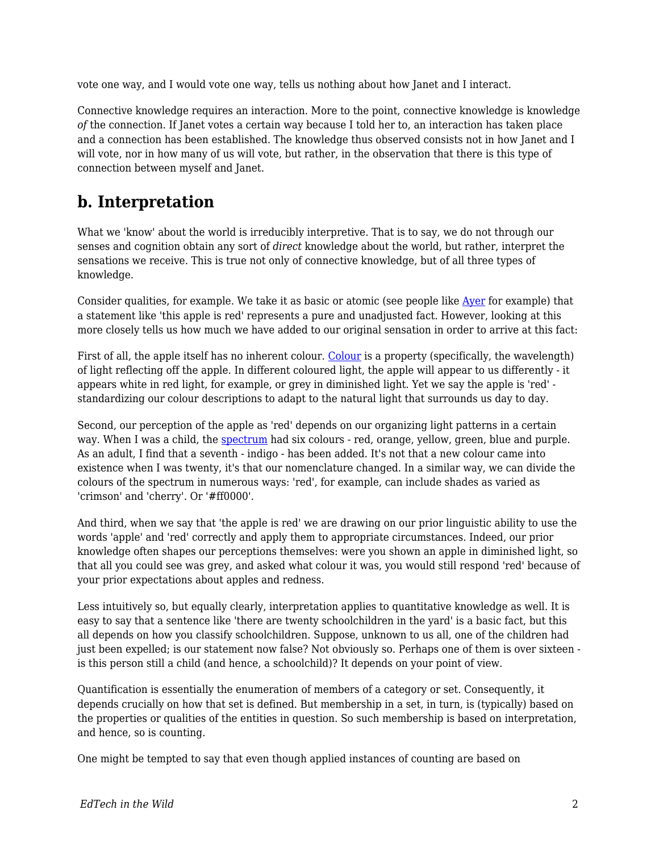vote one way, and I would vote one way, tells us nothing about how Janet and I interact.

Connective knowledge requires an interaction. More to the point, connective knowledge is knowledge *of* the connection. If Janet votes a certain way because I told her to, an interaction has taken place and a connection has been established. The knowledge thus observed consists not in how Janet and I will vote, nor in how many of us will vote, but rather, in the observation that there is this type of connection between myself and Janet.

#### **b. Interpretation**

What we 'know' about the world is irreducibly interpretive. That is to say, we do not through our senses and cognition obtain any sort of *direct* knowledge about the world, but rather, interpret the sensations we receive. This is true not only of connective knowledge, but of all three types of knowledge.

Consider qualities, for example. We take it as basic or atomic (see people like Aver for example) that a statement like 'this apple is red' represents a pure and unadjusted fact. However, looking at this more closely tells us how much we have added to our original sensation in order to arrive at this fact:

First of all, the apple itself has no inherent colour. [Colour](http://www.amonline.net.au/colour/) is a property (specifically, the wavelength) of light reflecting off the apple. In different coloured light, the apple will appear to us differently - it appears white in red light, for example, or grey in diminished light. Yet we say the apple is 'red' standardizing our colour descriptions to adapt to the natural light that surrounds us day to day.

Second, our perception of the apple as 'red' depends on our organizing light patterns in a certain way. When I was a child, the [spectrum](http://en.wikipedia.org/wiki/Optical_spectrum) had six colours - red, orange, yellow, green, blue and purple. As an adult, I find that a seventh - indigo - has been added. It's not that a new colour came into existence when I was twenty, it's that our nomenclature changed. In a similar way, we can divide the colours of the spectrum in numerous ways: 'red', for example, can include shades as varied as 'crimson' and 'cherry'. Or '#ff0000'.

And third, when we say that 'the apple is red' we are drawing on our prior linguistic ability to use the words 'apple' and 'red' correctly and apply them to appropriate circumstances. Indeed, our prior knowledge often shapes our perceptions themselves: were you shown an apple in diminished light, so that all you could see was grey, and asked what colour it was, you would still respond 'red' because of your prior expectations about apples and redness.

Less intuitively so, but equally clearly, interpretation applies to quantitative knowledge as well. It is easy to say that a sentence like 'there are twenty schoolchildren in the yard' is a basic fact, but this all depends on how you classify schoolchildren. Suppose, unknown to us all, one of the children had just been expelled; is our statement now false? Not obviously so. Perhaps one of them is over sixteen is this person still a child (and hence, a schoolchild)? It depends on your point of view.

Quantification is essentially the enumeration of members of a category or set. Consequently, it depends crucially on how that set is defined. But membership in a set, in turn, is (typically) based on the properties or qualities of the entities in question. So such membership is based on interpretation, and hence, so is counting.

One might be tempted to say that even though applied instances of counting are based on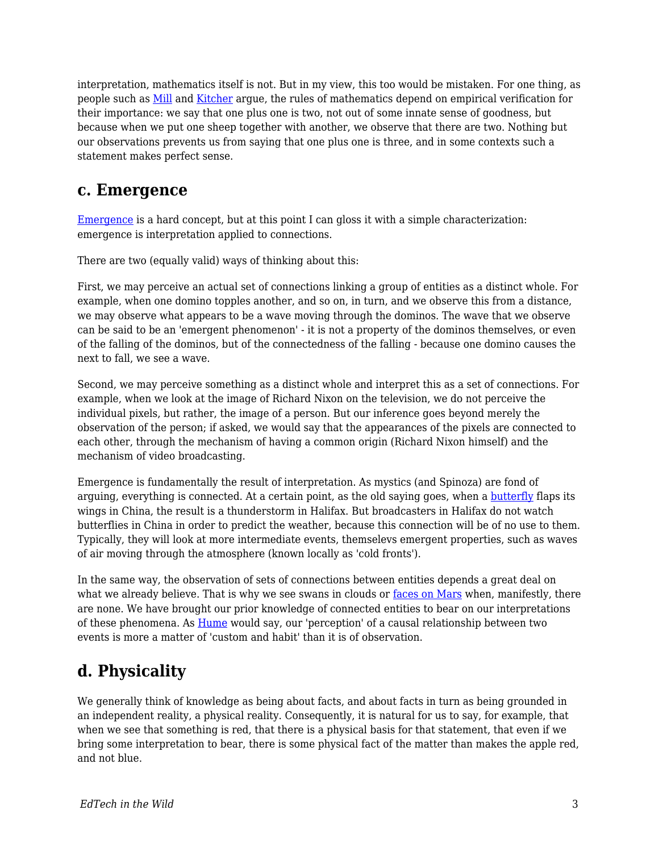interpretation, mathematics itself is not. But in my view, this too would be mistaken. For one thing, as people such as [Mill](http://www.amazon.com/gp/product/1410202526/qid=1135300332/sr=2-1/ref=pd_bbs_b_2_1/104-2666027-6354322?s=books&v=glance&n=283155) and [Kitcher](http://www.amazon.com/gp/product/0195035410/qid=1135300366/sr=2-1/ref=pd_bbs_b_2_1/104-2666027-6354322?s=books&v=glance&n=283155) argue, the rules of mathematics depend on empirical verification for their importance: we say that one plus one is two, not out of some innate sense of goodness, but because when we put one sheep together with another, we observe that there are two. Nothing but our observations prevents us from saying that one plus one is three, and in some contexts such a statement makes perfect sense.

#### **c. Emergence**

[Emergence](http://en.wikipedia.org/wiki/Emergence) is a hard concept, but at this point I can gloss it with a simple characterization: emergence is interpretation applied to connections.

There are two (equally valid) ways of thinking about this:

First, we may perceive an actual set of connections linking a group of entities as a distinct whole. For example, when one domino topples another, and so on, in turn, and we observe this from a distance, we may observe what appears to be a wave moving through the dominos. The wave that we observe can be said to be an 'emergent phenomenon' - it is not a property of the dominos themselves, or even of the falling of the dominos, but of the connectedness of the falling - because one domino causes the next to fall, we see a wave.

Second, we may perceive something as a distinct whole and interpret this as a set of connections. For example, when we look at the image of Richard Nixon on the television, we do not perceive the individual pixels, but rather, the image of a person. But our inference goes beyond merely the observation of the person; if asked, we would say that the appearances of the pixels are connected to each other, through the mechanism of having a common origin (Richard Nixon himself) and the mechanism of video broadcasting.

Emergence is fundamentally the result of interpretation. As mystics (and Spinoza) are fond of arguing, everything is connected. At a certain point, as the old saying goes, when a [butterfly](http://www.crystalinks.com/chaos.html) flaps its wings in China, the result is a thunderstorm in Halifax. But broadcasters in Halifax do not watch butterflies in China in order to predict the weather, because this connection will be of no use to them. Typically, they will look at more intermediate events, themselevs emergent properties, such as waves of air moving through the atmosphere (known locally as 'cold fronts').

In the same way, the observation of sets of connections between entities depends a great deal on what we already believe. That is why we see swans in clouds or [faces on Mars](http://science.nasa.gov/headlines/y2001/ast24may_1.htm) when, manifestly, there are none. We have brought our prior knowledge of connected entities to bear on our interpretations of these phenomena. As [Hume](http://www.amazon.com/gp/product/0198752482/qid=1135300636/sr=2-1/ref=pd_bbs_b_2_1/104-2666027-6354322?s=books&v=glance&n=283155) would say, our 'perception' of a causal relationship between two events is more a matter of 'custom and habit' than it is of observation.

## **d. Physicality**

We generally think of knowledge as being about facts, and about facts in turn as being grounded in an independent reality, a physical reality. Consequently, it is natural for us to say, for example, that when we see that something is red, that there is a physical basis for that statement, that even if we bring some interpretation to bear, there is some physical fact of the matter than makes the apple red, and not blue.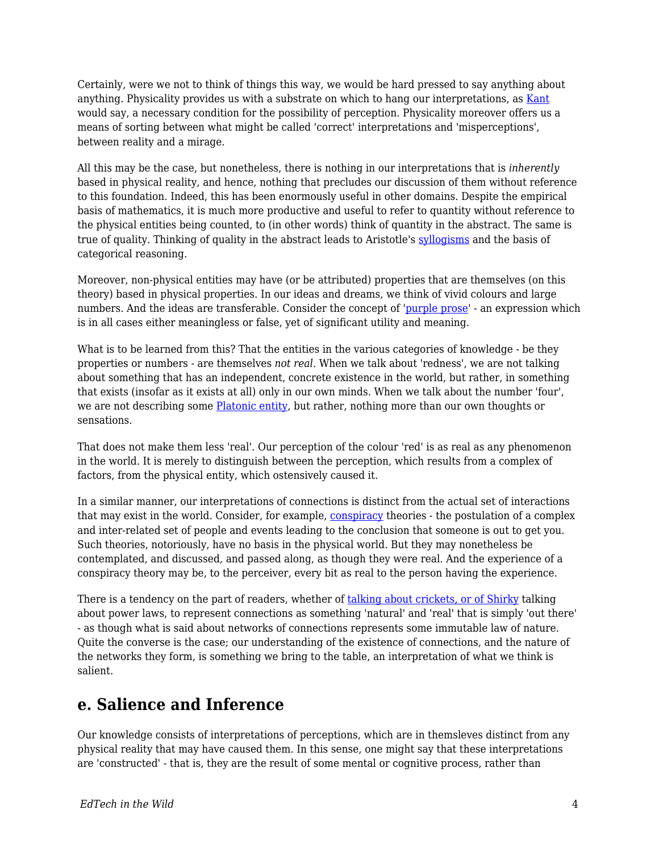Certainly, were we not to think of things this way, we would be hard pressed to say anything about anything. Physicality provides us with a substrate on which to hang our interpretations, as [Kant](http://www.amazon.com/gp/product/0521657296/qid=1135300692/sr=2-1/ref=pd_bbs_b_2_1/104-2666027-6354322?s=books&v=glance&n=283155) would say, a necessary condition for the possibility of perception. Physicality moreover offers us a means of sorting between what might be called 'correct' interpretations and 'misperceptions', between reality and a mirage.

All this may be the case, but nonetheless, there is nothing in our interpretations that is *inherently* based in physical reality, and hence, nothing that precludes our discussion of them without reference to this foundation. Indeed, this has been enormously useful in other domains. Despite the empirical basis of mathematics, it is much more productive and useful to refer to quantity without reference to the physical entities being counted, to (in other words) think of quantity in the abstract. The same is true of quality. Thinking of quality in the abstract leads to Aristotle's [syllogisms](http://www.philosophypages.com/lg/e08a.htm) and the basis of categorical reasoning.

Moreover, non-physical entities may have (or be attributed) properties that are themselves (on this theory) based in physical properties. In our ideas and dreams, we think of vivid colours and large numbers. And the ideas are transferable. Consider the concept of '[purple prose](http://www.debstover.com/purple.html)' - an expression which is in all cases either meaningless or false, yet of significant utility and meaning.

What is to be learned from this? That the entities in the various categories of knowledge - be they properties or numbers - are themselves *not real*. When we talk about 'redness', we are not talking about something that has an independent, concrete existence in the world, but rather, in something that exists (insofar as it exists at all) only in our own minds. When we talk about the number 'four', we are not describing some [Platonic entity](http://www.soci.niu.edu/~phildept/Dye/forms.html), but rather, nothing more than our own thoughts or sensations.

That does not make them less 'real'. Our perception of the colour 'red' is as real as any phenomenon in the world. It is merely to distinguish between the perception, which results from a complex of factors, from the physical entity, which ostensively caused it.

In a similar manner, our interpretations of connections is distinct from the actual set of interactions that may exist in the world. Consider, for example, [conspiracy](http://en.wikipedia.org/wiki/Conspiracy_theory) theories - the postulation of a complex and inter-related set of people and events leading to the conclusion that someone is out to get you. Such theories, notoriously, have no basis in the physical world. But they may nonetheless be contemplated, and discussed, and passed along, as though they were real. And the experience of a conspiracy theory may be, to the perceiver, every bit as real to the person having the experience.

There is a tendency on the part of readers, whether of [talking about crickets, or of](http://www.amazon.com/gp/product/0393041425/qid=1135301061/sr=2-1/ref=pd_bbs_b_2_1/104-2666027-6354322?s=books&v=glance&n=283155) [Shirky](http://www.shirky.com/writings/powerlaw_weblog.html) talking about power laws, to represent connections as something 'natural' and 'real' that is simply 'out there' - as though what is said about networks of connections represents some immutable law of nature. Quite the converse is the case; our understanding of the existence of connections, and the nature of the networks they form, is something we bring to the table, an interpretation of what we think is salient.

#### **e. Salience and Inference**

Our knowledge consists of interpretations of perceptions, which are in themsleves distinct from any physical reality that may have caused them. In this sense, one might say that these interpretations are 'constructed' - that is, they are the result of some mental or cognitive process, rather than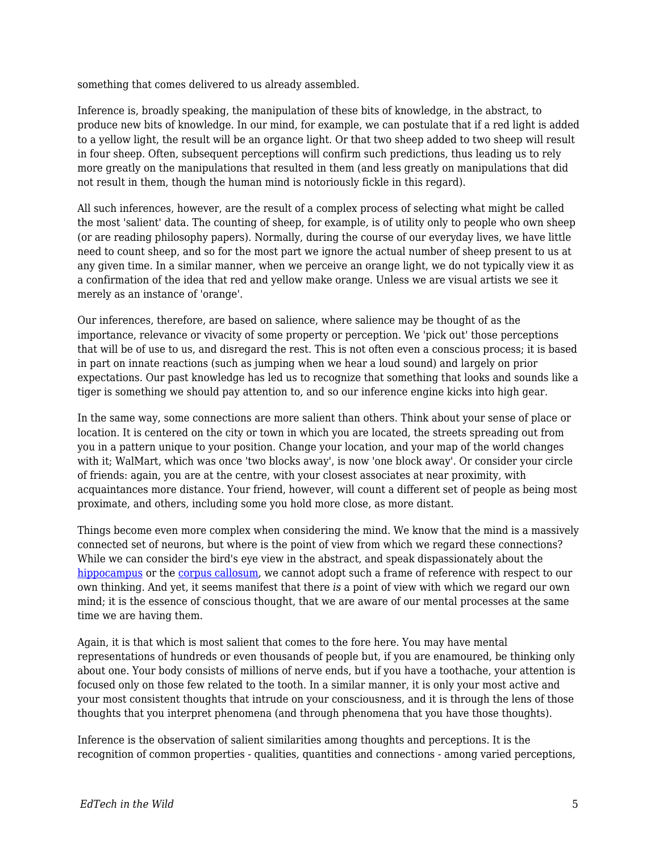something that comes delivered to us already assembled.

Inference is, broadly speaking, the manipulation of these bits of knowledge, in the abstract, to produce new bits of knowledge. In our mind, for example, we can postulate that if a red light is added to a yellow light, the result will be an organce light. Or that two sheep added to two sheep will result in four sheep. Often, subsequent perceptions will confirm such predictions, thus leading us to rely more greatly on the manipulations that resulted in them (and less greatly on manipulations that did not result in them, though the human mind is notoriously fickle in this regard).

All such inferences, however, are the result of a complex process of selecting what might be called the most 'salient' data. The counting of sheep, for example, is of utility only to people who own sheep (or are reading philosophy papers). Normally, during the course of our everyday lives, we have little need to count sheep, and so for the most part we ignore the actual number of sheep present to us at any given time. In a similar manner, when we perceive an orange light, we do not typically view it as a confirmation of the idea that red and yellow make orange. Unless we are visual artists we see it merely as an instance of 'orange'.

Our inferences, therefore, are based on salience, where salience may be thought of as the importance, relevance or vivacity of some property or perception. We 'pick out' those perceptions that will be of use to us, and disregard the rest. This is not often even a conscious process; it is based in part on innate reactions (such as jumping when we hear a loud sound) and largely on prior expectations. Our past knowledge has led us to recognize that something that looks and sounds like a tiger is something we should pay attention to, and so our inference engine kicks into high gear.

In the same way, some connections are more salient than others. Think about your sense of place or location. It is centered on the city or town in which you are located, the streets spreading out from you in a pattern unique to your position. Change your location, and your map of the world changes with it; WalMart, which was once 'two blocks away', is now 'one block away'. Or consider your circle of friends: again, you are at the centre, with your closest associates at near proximity, with acquaintances more distance. Your friend, however, will count a different set of people as being most proximate, and others, including some you hold more close, as more distant.

Things become even more complex when considering the mind. We know that the mind is a massively connected set of neurons, but where is the point of view from which we regard these connections? While we can consider the bird's eye view in the abstract, and speak dispassionately about the [hippocampus](http://www.psycheducation.org/emotion/hippocampus.htm) or the [corpus callosum](http://www.indiana.edu/~pietsch/callosum.html), we cannot adopt such a frame of reference with respect to our own thinking. And yet, it seems manifest that there *is* a point of view with which we regard our own mind; it is the essence of conscious thought, that we are aware of our mental processes at the same time we are having them.

Again, it is that which is most salient that comes to the fore here. You may have mental representations of hundreds or even thousands of people but, if you are enamoured, be thinking only about one. Your body consists of millions of nerve ends, but if you have a toothache, your attention is focused only on those few related to the tooth. In a similar manner, it is only your most active and your most consistent thoughts that intrude on your consciousness, and it is through the lens of those thoughts that you interpret phenomena (and through phenomena that you have those thoughts).

Inference is the observation of salient similarities among thoughts and perceptions. It is the recognition of common properties - qualities, quantities and connections - among varied perceptions,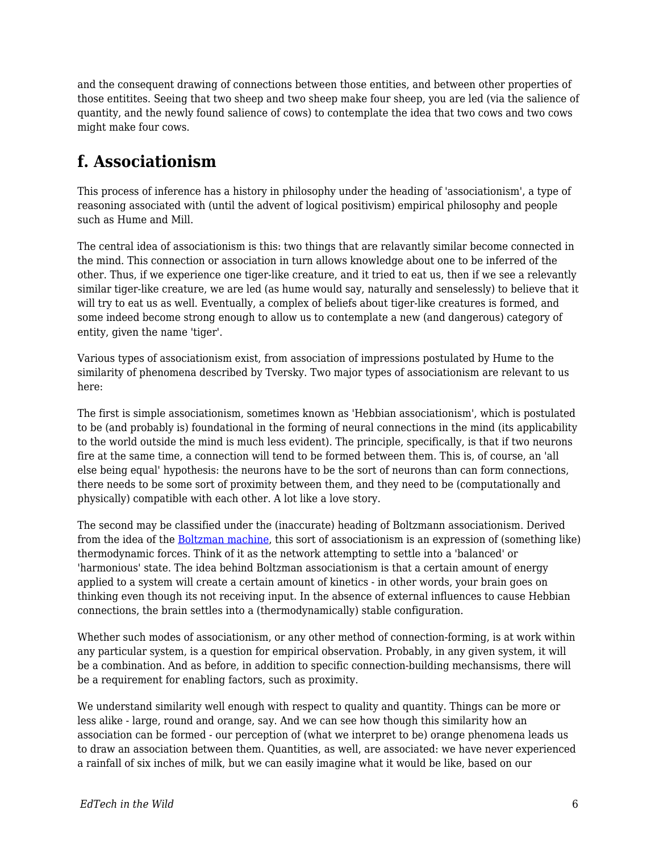and the consequent drawing of connections between those entities, and between other properties of those entitites. Seeing that two sheep and two sheep make four sheep, you are led (via the salience of quantity, and the newly found salience of cows) to contemplate the idea that two cows and two cows might make four cows.

### **f. Associationism**

This process of inference has a history in philosophy under the heading of 'associationism', a type of reasoning associated with (until the advent of logical positivism) empirical philosophy and people such as Hume and Mill.

The central idea of associationism is this: two things that are relavantly similar become connected in the mind. This connection or association in turn allows knowledge about one to be inferred of the other. Thus, if we experience one tiger-like creature, and it tried to eat us, then if we see a relevantly similar tiger-like creature, we are led (as hume would say, naturally and senselessly) to believe that it will try to eat us as well. Eventually, a complex of beliefs about tiger-like creatures is formed, and some indeed become strong enough to allow us to contemplate a new (and dangerous) category of entity, given the name 'tiger'.

Various types of associationism exist, from association of impressions postulated by Hume to the similarity of phenomena described by Tversky. Two major types of associationism are relevant to us here:

The first is simple associationism, sometimes known as 'Hebbian associationism', which is postulated to be (and probably is) foundational in the forming of neural connections in the mind (its applicability to the world outside the mind is much less evident). The principle, specifically, is that if two neurons fire at the same time, a connection will tend to be formed between them. This is, of course, an 'all else being equal' hypothesis: the neurons have to be the sort of neurons than can form connections, there needs to be some sort of proximity between them, and they need to be (computationally and physically) compatible with each other. A lot like a love story.

The second may be classified under the (inaccurate) heading of Boltzmann associationism. Derived from the idea of the [Boltzman machine,](http://www.cs.hmc.edu/claremont/keller/152-slides/590.html) this sort of associationism is an expression of (something like) thermodynamic forces. Think of it as the network attempting to settle into a 'balanced' or 'harmonious' state. The idea behind Boltzman associationism is that a certain amount of energy applied to a system will create a certain amount of kinetics - in other words, your brain goes on thinking even though its not receiving input. In the absence of external influences to cause Hebbian connections, the brain settles into a (thermodynamically) stable configuration.

Whether such modes of associationism, or any other method of connection-forming, is at work within any particular system, is a question for empirical observation. Probably, in any given system, it will be a combination. And as before, in addition to specific connection-building mechansisms, there will be a requirement for enabling factors, such as proximity.

We understand similarity well enough with respect to quality and quantity. Things can be more or less alike - large, round and orange, say. And we can see how though this similarity how an association can be formed - our perception of (what we interpret to be) orange phenomena leads us to draw an association between them. Quantities, as well, are associated: we have never experienced a rainfall of six inches of milk, but we can easily imagine what it would be like, based on our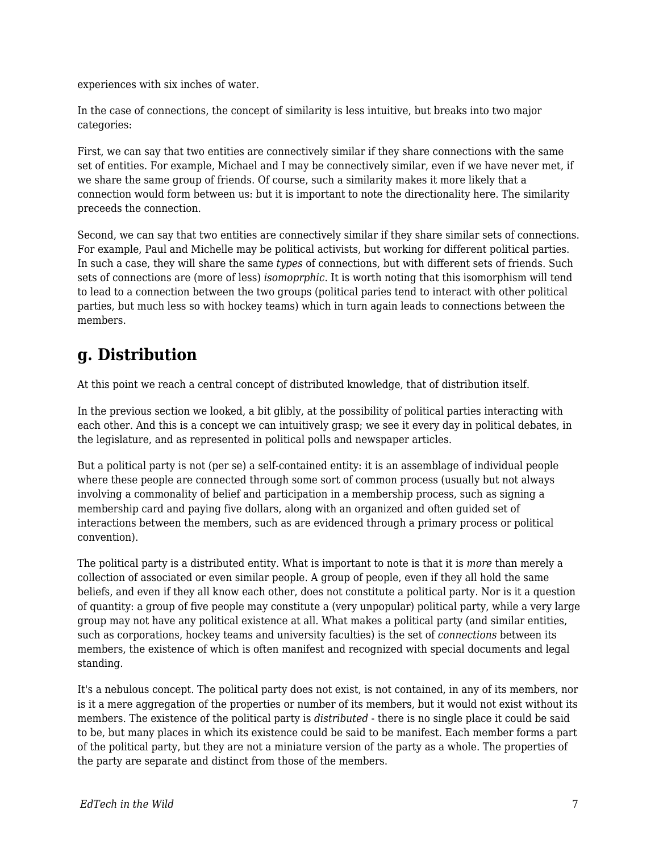experiences with six inches of water.

In the case of connections, the concept of similarity is less intuitive, but breaks into two major categories:

First, we can say that two entities are connectively similar if they share connections with the same set of entities. For example, Michael and I may be connectively similar, even if we have never met, if we share the same group of friends. Of course, such a similarity makes it more likely that a connection would form between us: but it is important to note the directionality here. The similarity preceeds the connection.

Second, we can say that two entities are connectively similar if they share similar sets of connections. For example, Paul and Michelle may be political activists, but working for different political parties. In such a case, they will share the same *types* of connections, but with different sets of friends. Such sets of connections are (more of less) *isomoprphic*. It is worth noting that this isomorphism will tend to lead to a connection between the two groups (political paries tend to interact with other political parties, but much less so with hockey teams) which in turn again leads to connections between the members.

### **g. Distribution**

At this point we reach a central concept of distributed knowledge, that of distribution itself.

In the previous section we looked, a bit glibly, at the possibility of political parties interacting with each other. And this is a concept we can intuitively grasp; we see it every day in political debates, in the legislature, and as represented in political polls and newspaper articles.

But a political party is not (per se) a self-contained entity: it is an assemblage of individual people where these people are connected through some sort of common process (usually but not always involving a commonality of belief and participation in a membership process, such as signing a membership card and paying five dollars, along with an organized and often guided set of interactions between the members, such as are evidenced through a primary process or political convention).

The political party is a distributed entity. What is important to note is that it is *more* than merely a collection of associated or even similar people. A group of people, even if they all hold the same beliefs, and even if they all know each other, does not constitute a political party. Nor is it a question of quantity: a group of five people may constitute a (very unpopular) political party, while a very large group may not have any political existence at all. What makes a political party (and similar entities, such as corporations, hockey teams and university faculties) is the set of *connections* between its members, the existence of which is often manifest and recognized with special documents and legal standing.

It's a nebulous concept. The political party does not exist, is not contained, in any of its members, nor is it a mere aggregation of the properties or number of its members, but it would not exist without its members. The existence of the political party is *distributed* - there is no single place it could be said to be, but many places in which its existence could be said to be manifest. Each member forms a part of the political party, but they are not a miniature version of the party as a whole. The properties of the party are separate and distinct from those of the members.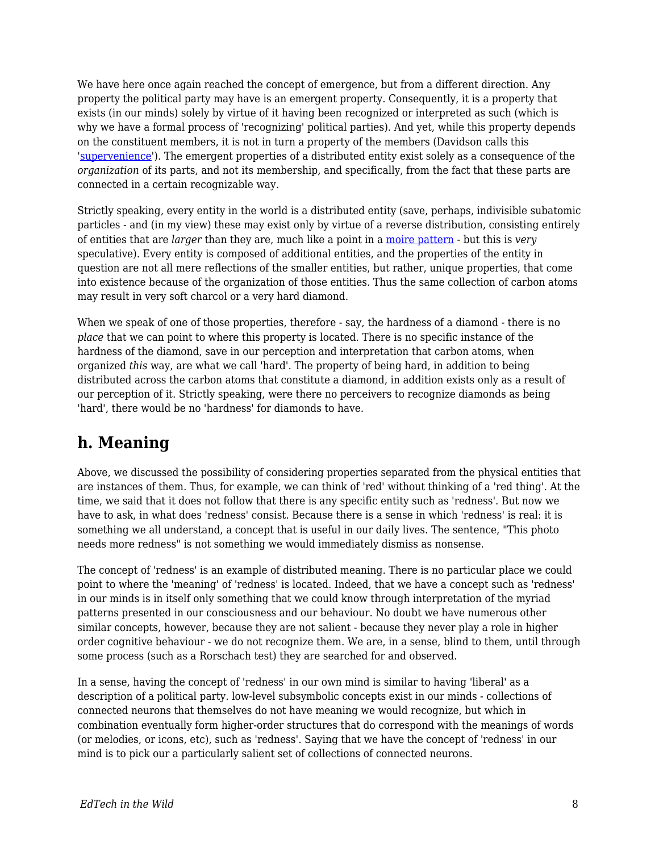We have here once again reached the concept of emergence, but from a different direction. Any property the political party may have is an emergent property. Consequently, it is a property that exists (in our minds) solely by virtue of it having been recognized or interpreted as such (which is why we have a formal process of 'recognizing' political parties). And yet, while this property depends on the constituent members, it is not in turn a property of the members (Davidson calls this '[supervenience](http://www.artsci.wustl.edu/~philos/MindDict/supervenience.html)'). The emergent properties of a distributed entity exist solely as a consequence of the *organization* of its parts, and not its membership, and specifically, from the fact that these parts are connected in a certain recognizable way.

Strictly speaking, every entity in the world is a distributed entity (save, perhaps, indivisible subatomic particles - and (in my view) these may exist only by virtue of a reverse distribution, consisting entirely of entities that are *larger* than they are, much like a point in a [moire pattern](http://www.exploratorium.edu/snacks/moire_patterns.html) - but this is *very* speculative). Every entity is composed of additional entities, and the properties of the entity in question are not all mere reflections of the smaller entities, but rather, unique properties, that come into existence because of the organization of those entities. Thus the same collection of carbon atoms may result in very soft charcol or a very hard diamond.

When we speak of one of those properties, therefore - say, the hardness of a diamond - there is no *place* that we can point to where this property is located. There is no specific instance of the hardness of the diamond, save in our perception and interpretation that carbon atoms, when organized *this* way, are what we call 'hard'. The property of being hard, in addition to being distributed across the carbon atoms that constitute a diamond, in addition exists only as a result of our perception of it. Strictly speaking, were there no perceivers to recognize diamonds as being 'hard', there would be no 'hardness' for diamonds to have.

#### **h. Meaning**

Above, we discussed the possibility of considering properties separated from the physical entities that are instances of them. Thus, for example, we can think of 'red' without thinking of a 'red thing'. At the time, we said that it does not follow that there is any specific entity such as 'redness'. But now we have to ask, in what does 'redness' consist. Because there is a sense in which 'redness' is real: it is something we all understand, a concept that is useful in our daily lives. The sentence, "This photo needs more redness" is not something we would immediately dismiss as nonsense.

The concept of 'redness' is an example of distributed meaning. There is no particular place we could point to where the 'meaning' of 'redness' is located. Indeed, that we have a concept such as 'redness' in our minds is in itself only something that we could know through interpretation of the myriad patterns presented in our consciousness and our behaviour. No doubt we have numerous other similar concepts, however, because they are not salient - because they never play a role in higher order cognitive behaviour - we do not recognize them. We are, in a sense, blind to them, until through some process (such as a Rorschach test) they are searched for and observed.

In a sense, having the concept of 'redness' in our own mind is similar to having 'liberal' as a description of a political party. low-level subsymbolic concepts exist in our minds - collections of connected neurons that themselves do not have meaning we would recognize, but which in combination eventually form higher-order structures that do correspond with the meanings of words (or melodies, or icons, etc), such as 'redness'. Saying that we have the concept of 'redness' in our mind is to pick our a particularly salient set of collections of connected neurons.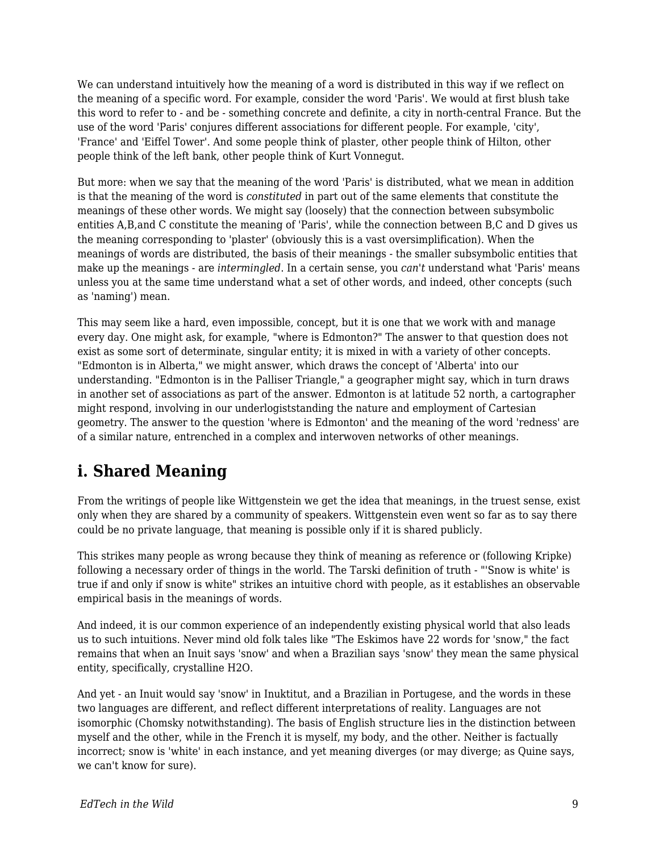We can understand intuitively how the meaning of a word is distributed in this way if we reflect on the meaning of a specific word. For example, consider the word 'Paris'. We would at first blush take this word to refer to - and be - something concrete and definite, a city in north-central France. But the use of the word 'Paris' conjures different associations for different people. For example, 'city', 'France' and 'Eiffel Tower'. And some people think of plaster, other people think of Hilton, other people think of the left bank, other people think of Kurt Vonnegut.

But more: when we say that the meaning of the word 'Paris' is distributed, what we mean in addition is that the meaning of the word is *constituted* in part out of the same elements that constitute the meanings of these other words. We might say (loosely) that the connection between subsymbolic entities A,B,and C constitute the meaning of 'Paris', while the connection between B,C and D gives us the meaning corresponding to 'plaster' (obviously this is a vast oversimplification). When the meanings of words are distributed, the basis of their meanings - the smaller subsymbolic entities that make up the meanings - are *intermingled*. In a certain sense, you *can't* understand what 'Paris' means unless you at the same time understand what a set of other words, and indeed, other concepts (such as 'naming') mean.

This may seem like a hard, even impossible, concept, but it is one that we work with and manage every day. One might ask, for example, "where is Edmonton?" The answer to that question does not exist as some sort of determinate, singular entity; it is mixed in with a variety of other concepts. "Edmonton is in Alberta," we might answer, which draws the concept of 'Alberta' into our understanding. "Edmonton is in the Palliser Triangle," a geographer might say, which in turn draws in another set of associations as part of the answer. Edmonton is at latitude 52 north, a cartographer might respond, involving in our underlogiststanding the nature and employment of Cartesian geometry. The answer to the question 'where is Edmonton' and the meaning of the word 'redness' are of a similar nature, entrenched in a complex and interwoven networks of other meanings.

#### **i. Shared Meaning**

From the writings of people like Wittgenstein we get the idea that meanings, in the truest sense, exist only when they are shared by a community of speakers. Wittgenstein even went so far as to say there could be no private language, that meaning is possible only if it is shared publicly.

This strikes many people as wrong because they think of meaning as reference or (following Kripke) following a necessary order of things in the world. The Tarski definition of truth - "'Snow is white' is true if and only if snow is white" strikes an intuitive chord with people, as it establishes an observable empirical basis in the meanings of words.

And indeed, it is our common experience of an independently existing physical world that also leads us to such intuitions. Never mind old folk tales like "The Eskimos have 22 words for 'snow," the fact remains that when an Inuit says 'snow' and when a Brazilian says 'snow' they mean the same physical entity, specifically, crystalline H2O.

And yet - an Inuit would say 'snow' in Inuktitut, and a Brazilian in Portugese, and the words in these two languages are different, and reflect different interpretations of reality. Languages are not isomorphic (Chomsky notwithstanding). The basis of English structure lies in the distinction between myself and the other, while in the French it is myself, my body, and the other. Neither is factually incorrect; snow is 'white' in each instance, and yet meaning diverges (or may diverge; as Quine says, we can't know for sure).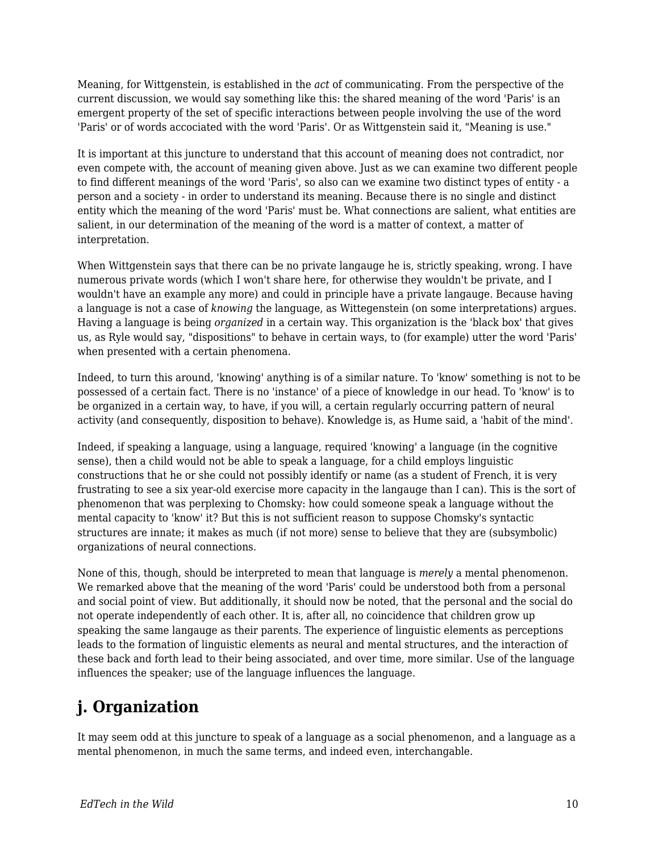Meaning, for Wittgenstein, is established in the *act* of communicating. From the perspective of the current discussion, we would say something like this: the shared meaning of the word 'Paris' is an emergent property of the set of specific interactions between people involving the use of the word 'Paris' or of words accociated with the word 'Paris'. Or as Wittgenstein said it, "Meaning is use."

It is important at this juncture to understand that this account of meaning does not contradict, nor even compete with, the account of meaning given above. Just as we can examine two different people to find different meanings of the word 'Paris', so also can we examine two distinct types of entity - a person and a society - in order to understand its meaning. Because there is no single and distinct entity which the meaning of the word 'Paris' must be. What connections are salient, what entities are salient, in our determination of the meaning of the word is a matter of context, a matter of interpretation.

When Wittgenstein says that there can be no private langauge he is, strictly speaking, wrong. I have numerous private words (which I won't share here, for otherwise they wouldn't be private, and I wouldn't have an example any more) and could in principle have a private langauge. Because having a language is not a case of *knowing* the language, as Wittegenstein (on some interpretations) argues. Having a language is being *organized* in a certain way. This organization is the 'black box' that gives us, as Ryle would say, "dispositions" to behave in certain ways, to (for example) utter the word 'Paris' when presented with a certain phenomena.

Indeed, to turn this around, 'knowing' anything is of a similar nature. To 'know' something is not to be possessed of a certain fact. There is no 'instance' of a piece of knowledge in our head. To 'know' is to be organized in a certain way, to have, if you will, a certain regularly occurring pattern of neural activity (and consequently, disposition to behave). Knowledge is, as Hume said, a 'habit of the mind'.

Indeed, if speaking a language, using a language, required 'knowing' a language (in the cognitive sense), then a child would not be able to speak a language, for a child employs linguistic constructions that he or she could not possibly identify or name (as a student of French, it is very frustrating to see a six year-old exercise more capacity in the langauge than I can). This is the sort of phenomenon that was perplexing to Chomsky: how could someone speak a language without the mental capacity to 'know' it? But this is not sufficient reason to suppose Chomsky's syntactic structures are innate; it makes as much (if not more) sense to believe that they are (subsymbolic) organizations of neural connections.

None of this, though, should be interpreted to mean that language is *merely* a mental phenomenon. We remarked above that the meaning of the word 'Paris' could be understood both from a personal and social point of view. But additionally, it should now be noted, that the personal and the social do not operate independently of each other. It is, after all, no coincidence that children grow up speaking the same langauge as their parents. The experience of linguistic elements as perceptions leads to the formation of linguistic elements as neural and mental structures, and the interaction of these back and forth lead to their being associated, and over time, more similar. Use of the language influences the speaker; use of the language influences the language.

# **j. Organization**

It may seem odd at this juncture to speak of a language as a social phenomenon, and a language as a mental phenomenon, in much the same terms, and indeed even, interchangable.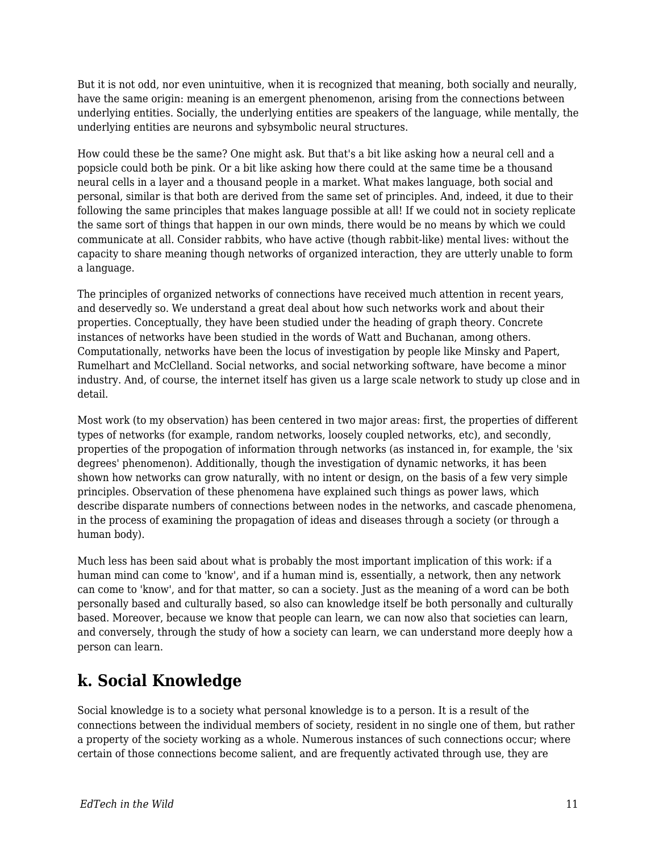But it is not odd, nor even unintuitive, when it is recognized that meaning, both socially and neurally, have the same origin: meaning is an emergent phenomenon, arising from the connections between underlying entities. Socially, the underlying entities are speakers of the language, while mentally, the underlying entities are neurons and sybsymbolic neural structures.

How could these be the same? One might ask. But that's a bit like asking how a neural cell and a popsicle could both be pink. Or a bit like asking how there could at the same time be a thousand neural cells in a layer and a thousand people in a market. What makes language, both social and personal, similar is that both are derived from the same set of principles. And, indeed, it due to their following the same principles that makes language possible at all! If we could not in society replicate the same sort of things that happen in our own minds, there would be no means by which we could communicate at all. Consider rabbits, who have active (though rabbit-like) mental lives: without the capacity to share meaning though networks of organized interaction, they are utterly unable to form a language.

The principles of organized networks of connections have received much attention in recent years, and deservedly so. We understand a great deal about how such networks work and about their properties. Conceptually, they have been studied under the heading of graph theory. Concrete instances of networks have been studied in the words of Watt and Buchanan, among others. Computationally, networks have been the locus of investigation by people like Minsky and Papert, Rumelhart and McClelland. Social networks, and social networking software, have become a minor industry. And, of course, the internet itself has given us a large scale network to study up close and in detail.

Most work (to my observation) has been centered in two major areas: first, the properties of different types of networks (for example, random networks, loosely coupled networks, etc), and secondly, properties of the propogation of information through networks (as instanced in, for example, the 'six degrees' phenomenon). Additionally, though the investigation of dynamic networks, it has been shown how networks can grow naturally, with no intent or design, on the basis of a few very simple principles. Observation of these phenomena have explained such things as power laws, which describe disparate numbers of connections between nodes in the networks, and cascade phenomena, in the process of examining the propagation of ideas and diseases through a society (or through a human body).

Much less has been said about what is probably the most important implication of this work: if a human mind can come to 'know', and if a human mind is, essentially, a network, then any network can come to 'know', and for that matter, so can a society. Just as the meaning of a word can be both personally based and culturally based, so also can knowledge itself be both personally and culturally based. Moreover, because we know that people can learn, we can now also that societies can learn, and conversely, through the study of how a society can learn, we can understand more deeply how a person can learn.

#### **k. Social Knowledge**

Social knowledge is to a society what personal knowledge is to a person. It is a result of the connections between the individual members of society, resident in no single one of them, but rather a property of the society working as a whole. Numerous instances of such connections occur; where certain of those connections become salient, and are frequently activated through use, they are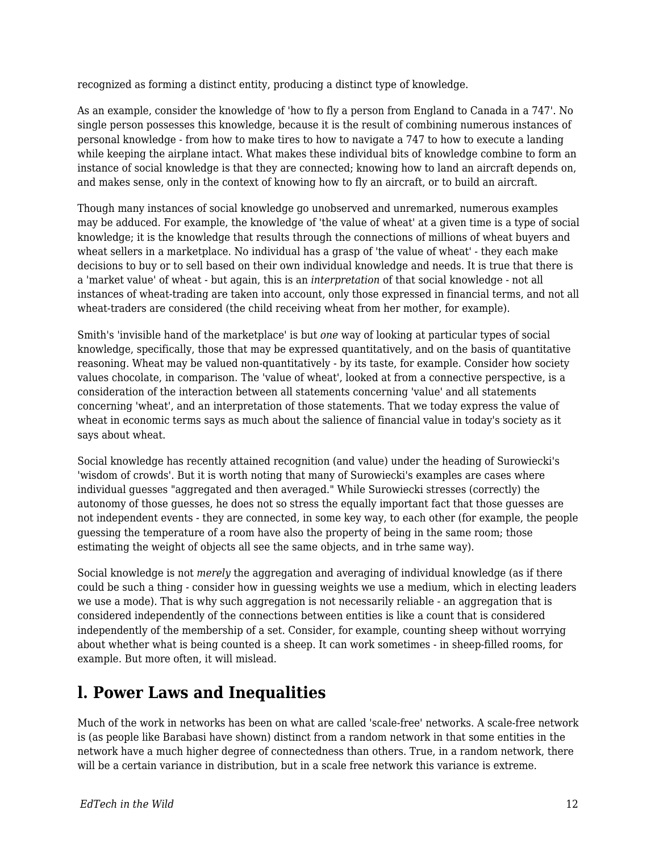recognized as forming a distinct entity, producing a distinct type of knowledge.

As an example, consider the knowledge of 'how to fly a person from England to Canada in a 747'. No single person possesses this knowledge, because it is the result of combining numerous instances of personal knowledge - from how to make tires to how to navigate a 747 to how to execute a landing while keeping the airplane intact. What makes these individual bits of knowledge combine to form an instance of social knowledge is that they are connected; knowing how to land an aircraft depends on, and makes sense, only in the context of knowing how to fly an aircraft, or to build an aircraft.

Though many instances of social knowledge go unobserved and unremarked, numerous examples may be adduced. For example, the knowledge of 'the value of wheat' at a given time is a type of social knowledge; it is the knowledge that results through the connections of millions of wheat buyers and wheat sellers in a marketplace. No individual has a grasp of 'the value of wheat' - they each make decisions to buy or to sell based on their own individual knowledge and needs. It is true that there is a 'market value' of wheat - but again, this is an *interpretation* of that social knowledge - not all instances of wheat-trading are taken into account, only those expressed in financial terms, and not all wheat-traders are considered (the child receiving wheat from her mother, for example).

Smith's 'invisible hand of the marketplace' is but *one* way of looking at particular types of social knowledge, specifically, those that may be expressed quantitatively, and on the basis of quantitative reasoning. Wheat may be valued non-quantitatively - by its taste, for example. Consider how society values chocolate, in comparison. The 'value of wheat', looked at from a connective perspective, is a consideration of the interaction between all statements concerning 'value' and all statements concerning 'wheat', and an interpretation of those statements. That we today express the value of wheat in economic terms says as much about the salience of financial value in today's society as it says about wheat.

Social knowledge has recently attained recognition (and value) under the heading of Surowiecki's 'wisdom of crowds'. But it is worth noting that many of Surowiecki's examples are cases where individual guesses "aggregated and then averaged." While Surowiecki stresses (correctly) the autonomy of those guesses, he does not so stress the equally important fact that those guesses are not independent events - they are connected, in some key way, to each other (for example, the people guessing the temperature of a room have also the property of being in the same room; those estimating the weight of objects all see the same objects, and in trhe same way).

Social knowledge is not *merely* the aggregation and averaging of individual knowledge (as if there could be such a thing - consider how in guessing weights we use a medium, which in electing leaders we use a mode). That is why such aggregation is not necessarily reliable - an aggregation that is considered independently of the connections between entities is like a count that is considered independently of the membership of a set. Consider, for example, counting sheep without worrying about whether what is being counted is a sheep. It can work sometimes - in sheep-filled rooms, for example. But more often, it will mislead.

#### **l. Power Laws and Inequalities**

Much of the work in networks has been on what are called 'scale-free' networks. A scale-free network is (as people like Barabasi have shown) distinct from a random network in that some entities in the network have a much higher degree of connectedness than others. True, in a random network, there will be a certain variance in distribution, but in a scale free network this variance is extreme.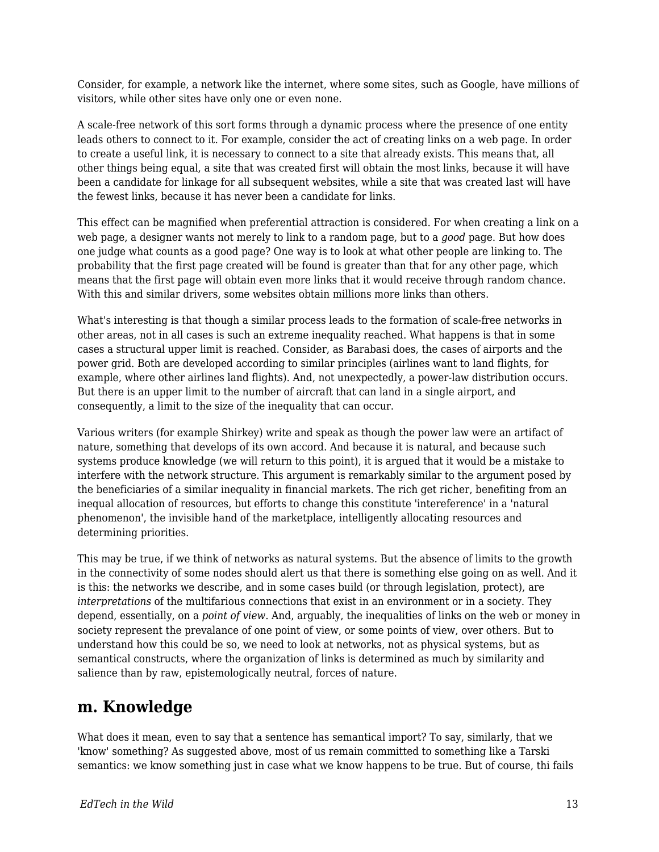Consider, for example, a network like the internet, where some sites, such as Google, have millions of visitors, while other sites have only one or even none.

A scale-free network of this sort forms through a dynamic process where the presence of one entity leads others to connect to it. For example, consider the act of creating links on a web page. In order to create a useful link, it is necessary to connect to a site that already exists. This means that, all other things being equal, a site that was created first will obtain the most links, because it will have been a candidate for linkage for all subsequent websites, while a site that was created last will have the fewest links, because it has never been a candidate for links.

This effect can be magnified when preferential attraction is considered. For when creating a link on a web page, a designer wants not merely to link to a random page, but to a *good* page. But how does one judge what counts as a good page? One way is to look at what other people are linking to. The probability that the first page created will be found is greater than that for any other page, which means that the first page will obtain even more links that it would receive through random chance. With this and similar drivers, some websites obtain millions more links than others.

What's interesting is that though a similar process leads to the formation of scale-free networks in other areas, not in all cases is such an extreme inequality reached. What happens is that in some cases a structural upper limit is reached. Consider, as Barabasi does, the cases of airports and the power grid. Both are developed according to similar principles (airlines want to land flights, for example, where other airlines land flights). And, not unexpectedly, a power-law distribution occurs. But there is an upper limit to the number of aircraft that can land in a single airport, and consequently, a limit to the size of the inequality that can occur.

Various writers (for example Shirkey) write and speak as though the power law were an artifact of nature, something that develops of its own accord. And because it is natural, and because such systems produce knowledge (we will return to this point), it is argued that it would be a mistake to interfere with the network structure. This argument is remarkably similar to the argument posed by the beneficiaries of a similar inequality in financial markets. The rich get richer, benefiting from an inequal allocation of resources, but efforts to change this constitute 'intereference' in a 'natural phenomenon', the invisible hand of the marketplace, intelligently allocating resources and determining priorities.

This may be true, if we think of networks as natural systems. But the absence of limits to the growth in the connectivity of some nodes should alert us that there is something else going on as well. And it is this: the networks we describe, and in some cases build (or through legislation, protect), are *interpretations* of the multifarious connections that exist in an environment or in a society. They depend, essentially, on a *point of view*. And, arguably, the inequalities of links on the web or money in society represent the prevalance of one point of view, or some points of view, over others. But to understand how this could be so, we need to look at networks, not as physical systems, but as semantical constructs, where the organization of links is determined as much by similarity and salience than by raw, epistemologically neutral, forces of nature.

#### **m. Knowledge**

What does it mean, even to say that a sentence has semantical import? To say, similarly, that we 'know' something? As suggested above, most of us remain committed to something like a Tarski semantics: we know something just in case what we know happens to be true. But of course, thi fails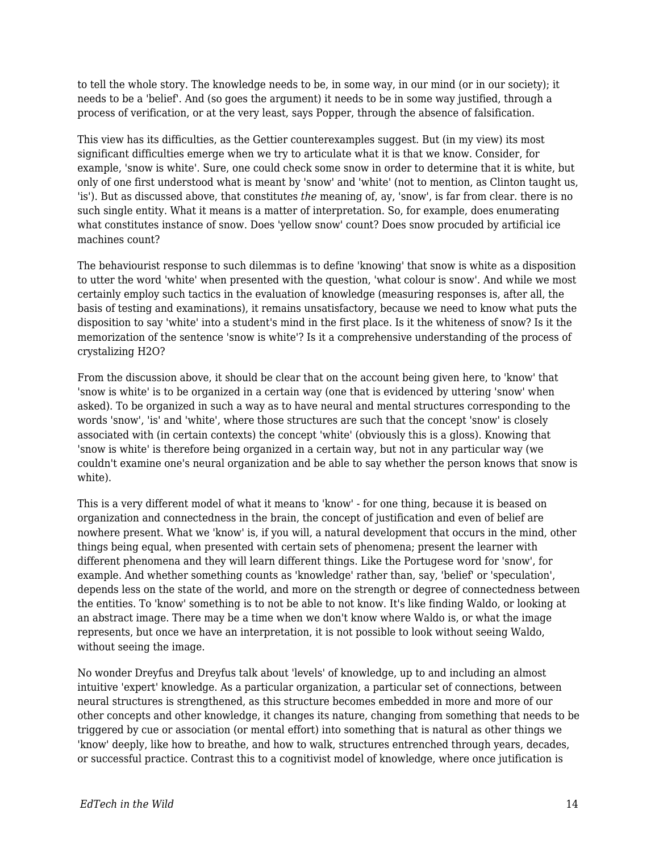to tell the whole story. The knowledge needs to be, in some way, in our mind (or in our society); it needs to be a 'belief'. And (so goes the argument) it needs to be in some way justified, through a process of verification, or at the very least, says Popper, through the absence of falsification.

This view has its difficulties, as the Gettier counterexamples suggest. But (in my view) its most significant difficulties emerge when we try to articulate what it is that we know. Consider, for example, 'snow is white'. Sure, one could check some snow in order to determine that it is white, but only of one first understood what is meant by 'snow' and 'white' (not to mention, as Clinton taught us, 'is'). But as discussed above, that constitutes *the* meaning of, ay, 'snow', is far from clear. there is no such single entity. What it means is a matter of interpretation. So, for example, does enumerating what constitutes instance of snow. Does 'yellow snow' count? Does snow procuded by artificial ice machines count?

The behaviourist response to such dilemmas is to define 'knowing' that snow is white as a disposition to utter the word 'white' when presented with the question, 'what colour is snow'. And while we most certainly employ such tactics in the evaluation of knowledge (measuring responses is, after all, the basis of testing and examinations), it remains unsatisfactory, because we need to know what puts the disposition to say 'white' into a student's mind in the first place. Is it the whiteness of snow? Is it the memorization of the sentence 'snow is white'? Is it a comprehensive understanding of the process of crystalizing H2O?

From the discussion above, it should be clear that on the account being given here, to 'know' that 'snow is white' is to be organized in a certain way (one that is evidenced by uttering 'snow' when asked). To be organized in such a way as to have neural and mental structures corresponding to the words 'snow', 'is' and 'white', where those structures are such that the concept 'snow' is closely associated with (in certain contexts) the concept 'white' (obviously this is a gloss). Knowing that 'snow is white' is therefore being organized in a certain way, but not in any particular way (we couldn't examine one's neural organization and be able to say whether the person knows that snow is white).

This is a very different model of what it means to 'know' - for one thing, because it is beased on organization and connectedness in the brain, the concept of justification and even of belief are nowhere present. What we 'know' is, if you will, a natural development that occurs in the mind, other things being equal, when presented with certain sets of phenomena; present the learner with different phenomena and they will learn different things. Like the Portugese word for 'snow', for example. And whether something counts as 'knowledge' rather than, say, 'belief' or 'speculation', depends less on the state of the world, and more on the strength or degree of connectedness between the entities. To 'know' something is to not be able to not know. It's like finding Waldo, or looking at an abstract image. There may be a time when we don't know where Waldo is, or what the image represents, but once we have an interpretation, it is not possible to look without seeing Waldo, without seeing the image.

No wonder Dreyfus and Dreyfus talk about 'levels' of knowledge, up to and including an almost intuitive 'expert' knowledge. As a particular organization, a particular set of connections, between neural structures is strengthened, as this structure becomes embedded in more and more of our other concepts and other knowledge, it changes its nature, changing from something that needs to be triggered by cue or association (or mental effort) into something that is natural as other things we 'know' deeply, like how to breathe, and how to walk, structures entrenched through years, decades, or successful practice. Contrast this to a cognitivist model of knowledge, where once jutification is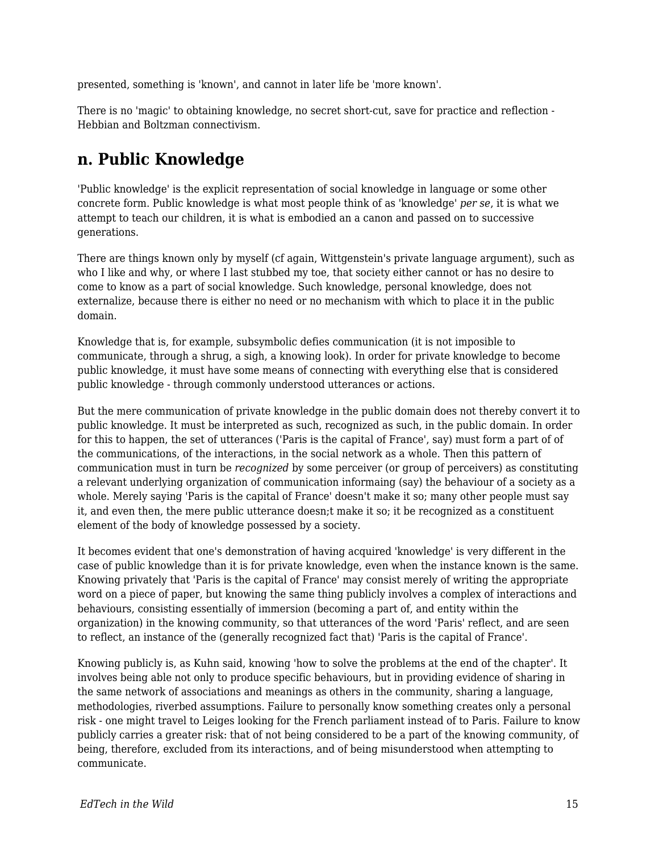presented, something is 'known', and cannot in later life be 'more known'.

There is no 'magic' to obtaining knowledge, no secret short-cut, save for practice and reflection - Hebbian and Boltzman connectivism.

#### **n. Public Knowledge**

'Public knowledge' is the explicit representation of social knowledge in language or some other concrete form. Public knowledge is what most people think of as 'knowledge' *per se*, it is what we attempt to teach our children, it is what is embodied an a canon and passed on to successive generations.

There are things known only by myself (cf again, Wittgenstein's private language argument), such as who I like and why, or where I last stubbed my toe, that society either cannot or has no desire to come to know as a part of social knowledge. Such knowledge, personal knowledge, does not externalize, because there is either no need or no mechanism with which to place it in the public domain.

Knowledge that is, for example, subsymbolic defies communication (it is not imposible to communicate, through a shrug, a sigh, a knowing look). In order for private knowledge to become public knowledge, it must have some means of connecting with everything else that is considered public knowledge - through commonly understood utterances or actions.

But the mere communication of private knowledge in the public domain does not thereby convert it to public knowledge. It must be interpreted as such, recognized as such, in the public domain. In order for this to happen, the set of utterances ('Paris is the capital of France', say) must form a part of of the communications, of the interactions, in the social network as a whole. Then this pattern of communication must in turn be *recognized* by some perceiver (or group of perceivers) as constituting a relevant underlying organization of communication informaing (say) the behaviour of a society as a whole. Merely saying 'Paris is the capital of France' doesn't make it so; many other people must say it, and even then, the mere public utterance doesn;t make it so; it be recognized as a constituent element of the body of knowledge possessed by a society.

It becomes evident that one's demonstration of having acquired 'knowledge' is very different in the case of public knowledge than it is for private knowledge, even when the instance known is the same. Knowing privately that 'Paris is the capital of France' may consist merely of writing the appropriate word on a piece of paper, but knowing the same thing publicly involves a complex of interactions and behaviours, consisting essentially of immersion (becoming a part of, and entity within the organization) in the knowing community, so that utterances of the word 'Paris' reflect, and are seen to reflect, an instance of the (generally recognized fact that) 'Paris is the capital of France'.

Knowing publicly is, as Kuhn said, knowing 'how to solve the problems at the end of the chapter'. It involves being able not only to produce specific behaviours, but in providing evidence of sharing in the same network of associations and meanings as others in the community, sharing a language, methodologies, riverbed assumptions. Failure to personally know something creates only a personal risk - one might travel to Leiges looking for the French parliament instead of to Paris. Failure to know publicly carries a greater risk: that of not being considered to be a part of the knowing community, of being, therefore, excluded from its interactions, and of being misunderstood when attempting to communicate.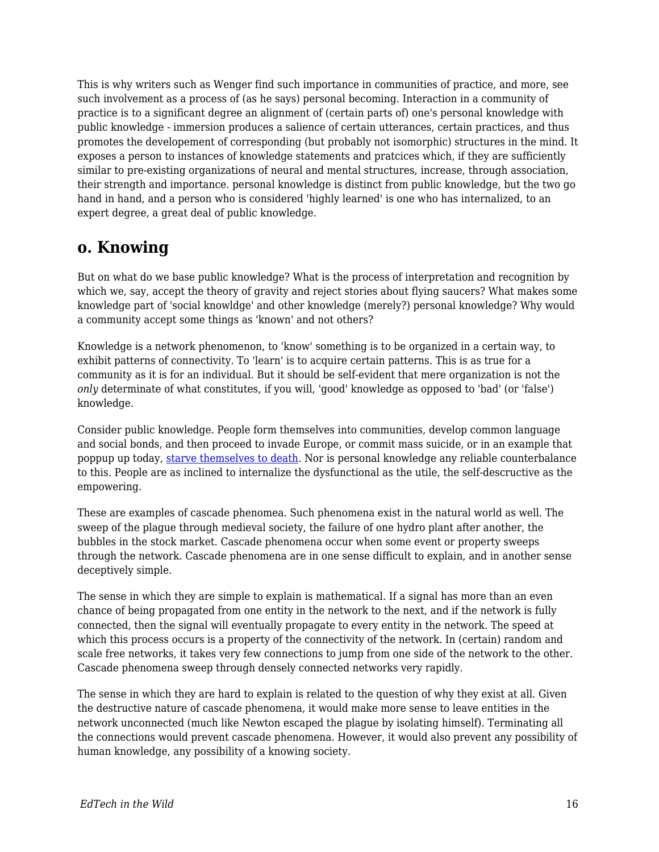This is why writers such as Wenger find such importance in communities of practice, and more, see such involvement as a process of (as he says) personal becoming. Interaction in a community of practice is to a significant degree an alignment of (certain parts of) one's personal knowledge with public knowledge - immersion produces a salience of certain utterances, certain practices, and thus promotes the developement of corresponding (but probably not isomorphic) structures in the mind. It exposes a person to instances of knowledge statements and pratcices which, if they are sufficiently similar to pre-existing organizations of neural and mental structures, increase, through association, their strength and importance. personal knowledge is distinct from public knowledge, but the two go hand in hand, and a person who is considered 'highly learned' is one who has internalized, to an expert degree, a great deal of public knowledge.

#### **o. Knowing**

But on what do we base public knowledge? What is the process of interpretation and recognition by which we, say, accept the theory of gravity and reject stories about flying saucers? What makes some knowledge part of 'social knowldge' and other knowledge (merely?) personal knowledge? Why would a community accept some things as 'known' and not others?

Knowledge is a network phenomenon, to 'know' something is to be organized in a certain way, to exhibit patterns of connectivity. To 'learn' is to acquire certain patterns. This is as true for a community as it is for an individual. But it should be self-evident that mere organization is not the *only* determinate of what constitutes, if you will, 'good' knowledge as opposed to 'bad' (or 'false') knowledge.

Consider public knowledge. People form themselves into communities, develop common language and social bonds, and then proceed to invade Europe, or commit mass suicide, or in an example that poppup up today, [starve themselves to death](http://fraser.typepad.com/edtechuk/2005/12/community.html). Nor is personal knowledge any reliable counterbalance to this. People are as inclined to internalize the dysfunctional as the utile, the self-descructive as the empowering.

These are examples of cascade phenomea. Such phenomena exist in the natural world as well. The sweep of the plague through medieval society, the failure of one hydro plant after another, the bubbles in the stock market. Cascade phenomena occur when some event or property sweeps through the network. Cascade phenomena are in one sense difficult to explain, and in another sense deceptively simple.

The sense in which they are simple to explain is mathematical. If a signal has more than an even chance of being propagated from one entity in the network to the next, and if the network is fully connected, then the signal will eventually propagate to every entity in the network. The speed at which this process occurs is a property of the connectivity of the network. In (certain) random and scale free networks, it takes very few connections to jump from one side of the network to the other. Cascade phenomena sweep through densely connected networks very rapidly.

The sense in which they are hard to explain is related to the question of why they exist at all. Given the destructive nature of cascade phenomena, it would make more sense to leave entities in the network unconnected (much like Newton escaped the plague by isolating himself). Terminating all the connections would prevent cascade phenomena. However, it would also prevent any possibility of human knowledge, any possibility of a knowing society.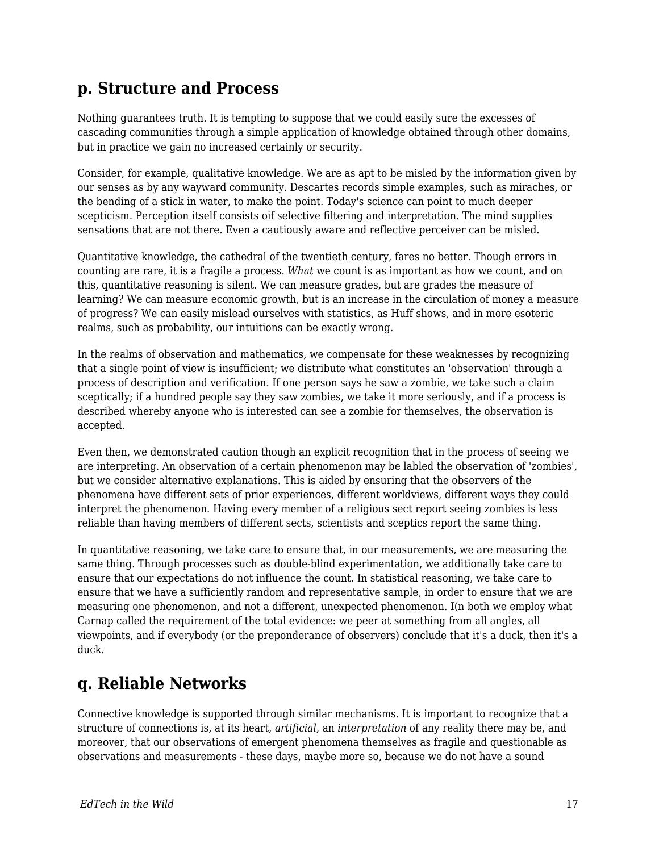#### **p. Structure and Process**

Nothing guarantees truth. It is tempting to suppose that we could easily sure the excesses of cascading communities through a simple application of knowledge obtained through other domains, but in practice we gain no increased certainly or security.

Consider, for example, qualitative knowledge. We are as apt to be misled by the information given by our senses as by any wayward community. Descartes records simple examples, such as miraches, or the bending of a stick in water, to make the point. Today's science can point to much deeper scepticism. Perception itself consists oif selective filtering and interpretation. The mind supplies sensations that are not there. Even a cautiously aware and reflective perceiver can be misled.

Quantitative knowledge, the cathedral of the twentieth century, fares no better. Though errors in counting are rare, it is a fragile a process. *What* we count is as important as how we count, and on this, quantitative reasoning is silent. We can measure grades, but are grades the measure of learning? We can measure economic growth, but is an increase in the circulation of money a measure of progress? We can easily mislead ourselves with statistics, as Huff shows, and in more esoteric realms, such as probability, our intuitions can be exactly wrong.

In the realms of observation and mathematics, we compensate for these weaknesses by recognizing that a single point of view is insufficient; we distribute what constitutes an 'observation' through a process of description and verification. If one person says he saw a zombie, we take such a claim sceptically; if a hundred people say they saw zombies, we take it more seriously, and if a process is described whereby anyone who is interested can see a zombie for themselves, the observation is accepted.

Even then, we demonstrated caution though an explicit recognition that in the process of seeing we are interpreting. An observation of a certain phenomenon may be labled the observation of 'zombies', but we consider alternative explanations. This is aided by ensuring that the observers of the phenomena have different sets of prior experiences, different worldviews, different ways they could interpret the phenomenon. Having every member of a religious sect report seeing zombies is less reliable than having members of different sects, scientists and sceptics report the same thing.

In quantitative reasoning, we take care to ensure that, in our measurements, we are measuring the same thing. Through processes such as double-blind experimentation, we additionally take care to ensure that our expectations do not influence the count. In statistical reasoning, we take care to ensure that we have a sufficiently random and representative sample, in order to ensure that we are measuring one phenomenon, and not a different, unexpected phenomenon. I(n both we employ what Carnap called the requirement of the total evidence: we peer at something from all angles, all viewpoints, and if everybody (or the preponderance of observers) conclude that it's a duck, then it's a duck.

#### **q. Reliable Networks**

Connective knowledge is supported through similar mechanisms. It is important to recognize that a structure of connections is, at its heart, *artificial*, an *interpretation* of any reality there may be, and moreover, that our observations of emergent phenomena themselves as fragile and questionable as observations and measurements - these days, maybe more so, because we do not have a sound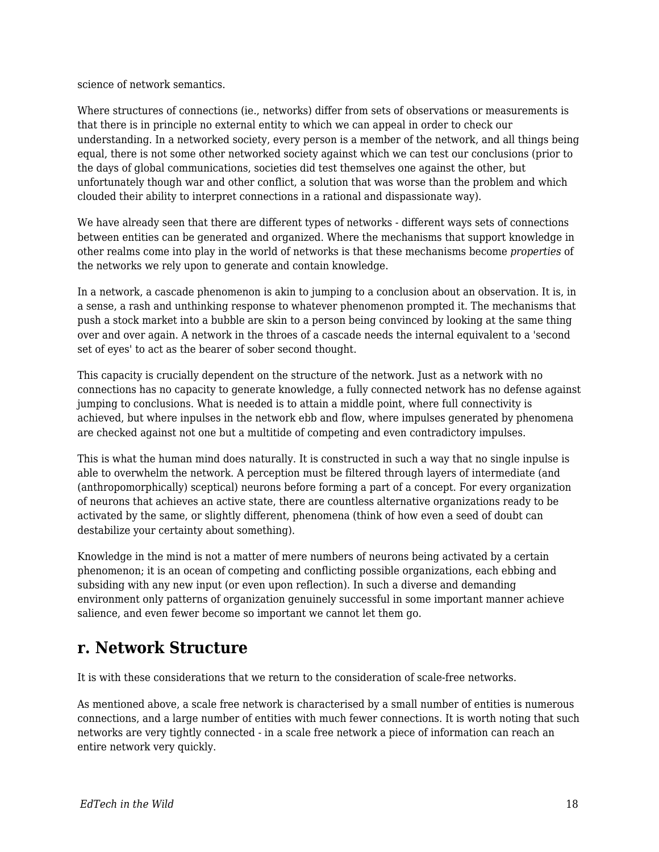science of network semantics.

Where structures of connections (ie., networks) differ from sets of observations or measurements is that there is in principle no external entity to which we can appeal in order to check our understanding. In a networked society, every person is a member of the network, and all things being equal, there is not some other networked society against which we can test our conclusions (prior to the days of global communications, societies did test themselves one against the other, but unfortunately though war and other conflict, a solution that was worse than the problem and which clouded their ability to interpret connections in a rational and dispassionate way).

We have already seen that there are different types of networks - different ways sets of connections between entities can be generated and organized. Where the mechanisms that support knowledge in other realms come into play in the world of networks is that these mechanisms become *properties* of the networks we rely upon to generate and contain knowledge.

In a network, a cascade phenomenon is akin to jumping to a conclusion about an observation. It is, in a sense, a rash and unthinking response to whatever phenomenon prompted it. The mechanisms that push a stock market into a bubble are skin to a person being convinced by looking at the same thing over and over again. A network in the throes of a cascade needs the internal equivalent to a 'second set of eyes' to act as the bearer of sober second thought.

This capacity is crucially dependent on the structure of the network. Just as a network with no connections has no capacity to generate knowledge, a fully connected network has no defense against jumping to conclusions. What is needed is to attain a middle point, where full connectivity is achieved, but where inpulses in the network ebb and flow, where impulses generated by phenomena are checked against not one but a multitide of competing and even contradictory impulses.

This is what the human mind does naturally. It is constructed in such a way that no single inpulse is able to overwhelm the network. A perception must be filtered through layers of intermediate (and (anthropomorphically) sceptical) neurons before forming a part of a concept. For every organization of neurons that achieves an active state, there are countless alternative organizations ready to be activated by the same, or slightly different, phenomena (think of how even a seed of doubt can destabilize your certainty about something).

Knowledge in the mind is not a matter of mere numbers of neurons being activated by a certain phenomenon; it is an ocean of competing and conflicting possible organizations, each ebbing and subsiding with any new input (or even upon reflection). In such a diverse and demanding environment only patterns of organization genuinely successful in some important manner achieve salience, and even fewer become so important we cannot let them go.

#### **r. Network Structure**

It is with these considerations that we return to the consideration of scale-free networks.

As mentioned above, a scale free network is characterised by a small number of entities is numerous connections, and a large number of entities with much fewer connections. It is worth noting that such networks are very tightly connected - in a scale free network a piece of information can reach an entire network very quickly.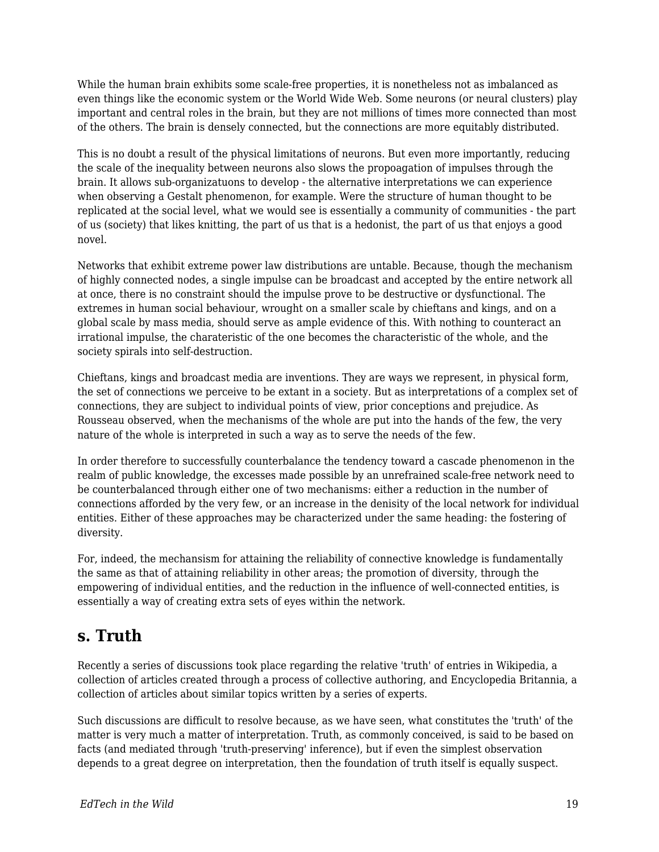While the human brain exhibits some scale-free properties, it is nonetheless not as imbalanced as even things like the economic system or the World Wide Web. Some neurons (or neural clusters) play important and central roles in the brain, but they are not millions of times more connected than most of the others. The brain is densely connected, but the connections are more equitably distributed.

This is no doubt a result of the physical limitations of neurons. But even more importantly, reducing the scale of the inequality between neurons also slows the propoagation of impulses through the brain. It allows sub-organizatuons to develop - the alternative interpretations we can experience when observing a Gestalt phenomenon, for example. Were the structure of human thought to be replicated at the social level, what we would see is essentially a community of communities - the part of us (society) that likes knitting, the part of us that is a hedonist, the part of us that enjoys a good novel.

Networks that exhibit extreme power law distributions are untable. Because, though the mechanism of highly connected nodes, a single impulse can be broadcast and accepted by the entire network all at once, there is no constraint should the impulse prove to be destructive or dysfunctional. The extremes in human social behaviour, wrought on a smaller scale by chieftans and kings, and on a global scale by mass media, should serve as ample evidence of this. With nothing to counteract an irrational impulse, the charateristic of the one becomes the characteristic of the whole, and the society spirals into self-destruction.

Chieftans, kings and broadcast media are inventions. They are ways we represent, in physical form, the set of connections we perceive to be extant in a society. But as interpretations of a complex set of connections, they are subject to individual points of view, prior conceptions and prejudice. As Rousseau observed, when the mechanisms of the whole are put into the hands of the few, the very nature of the whole is interpreted in such a way as to serve the needs of the few.

In order therefore to successfully counterbalance the tendency toward a cascade phenomenon in the realm of public knowledge, the excesses made possible by an unrefrained scale-free network need to be counterbalanced through either one of two mechanisms: either a reduction in the number of connections afforded by the very few, or an increase in the denisity of the local network for individual entities. Either of these approaches may be characterized under the same heading: the fostering of diversity.

For, indeed, the mechansism for attaining the reliability of connective knowledge is fundamentally the same as that of attaining reliability in other areas; the promotion of diversity, through the empowering of individual entities, and the reduction in the influence of well-connected entities, is essentially a way of creating extra sets of eyes within the network.

#### **s. Truth**

Recently a series of discussions took place regarding the relative 'truth' of entries in Wikipedia, a collection of articles created through a process of collective authoring, and Encyclopedia Britannia, a collection of articles about similar topics written by a series of experts.

Such discussions are difficult to resolve because, as we have seen, what constitutes the 'truth' of the matter is very much a matter of interpretation. Truth, as commonly conceived, is said to be based on facts (and mediated through 'truth-preserving' inference), but if even the simplest observation depends to a great degree on interpretation, then the foundation of truth itself is equally suspect.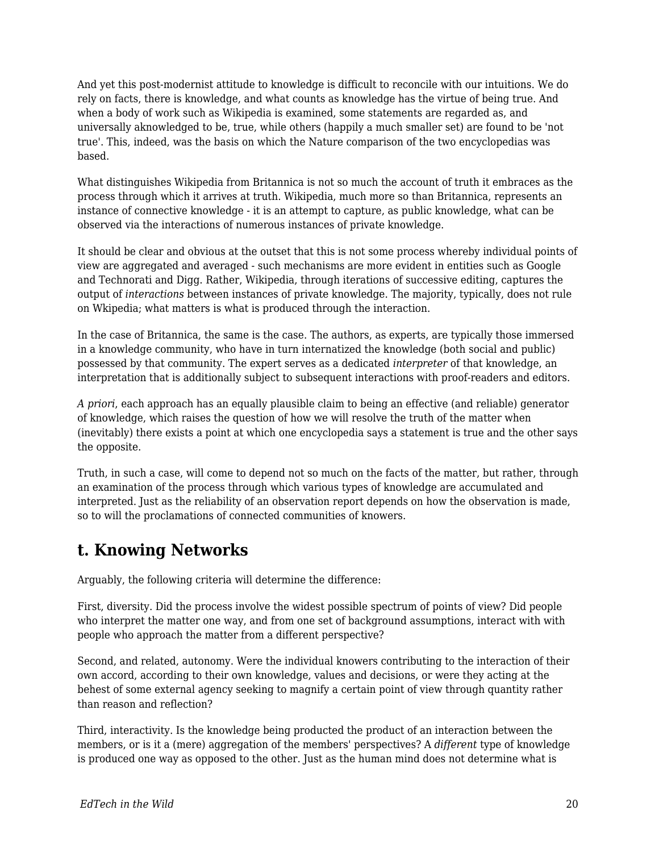And yet this post-modernist attitude to knowledge is difficult to reconcile with our intuitions. We do rely on facts, there is knowledge, and what counts as knowledge has the virtue of being true. And when a body of work such as Wikipedia is examined, some statements are regarded as, and universally aknowledged to be, true, while others (happily a much smaller set) are found to be 'not true'. This, indeed, was the basis on which the Nature comparison of the two encyclopedias was based.

What distinguishes Wikipedia from Britannica is not so much the account of truth it embraces as the process through which it arrives at truth. Wikipedia, much more so than Britannica, represents an instance of connective knowledge - it is an attempt to capture, as public knowledge, what can be observed via the interactions of numerous instances of private knowledge.

It should be clear and obvious at the outset that this is not some process whereby individual points of view are aggregated and averaged - such mechanisms are more evident in entities such as Google and Technorati and Digg. Rather, Wikipedia, through iterations of successive editing, captures the output of *interactions* between instances of private knowledge. The majority, typically, does not rule on Wkipedia; what matters is what is produced through the interaction.

In the case of Britannica, the same is the case. The authors, as experts, are typically those immersed in a knowledge community, who have in turn internatized the knowledge (both social and public) possessed by that community. The expert serves as a dedicated *interpreter* of that knowledge, an interpretation that is additionally subject to subsequent interactions with proof-readers and editors.

*A priori*, each approach has an equally plausible claim to being an effective (and reliable) generator of knowledge, which raises the question of how we will resolve the truth of the matter when (inevitably) there exists a point at which one encyclopedia says a statement is true and the other says the opposite.

Truth, in such a case, will come to depend not so much on the facts of the matter, but rather, through an examination of the process through which various types of knowledge are accumulated and interpreted. Just as the reliability of an observation report depends on how the observation is made, so to will the proclamations of connected communities of knowers.

#### **t. Knowing Networks**

Arguably, the following criteria will determine the difference:

First, diversity. Did the process involve the widest possible spectrum of points of view? Did people who interpret the matter one way, and from one set of background assumptions, interact with with people who approach the matter from a different perspective?

Second, and related, autonomy. Were the individual knowers contributing to the interaction of their own accord, according to their own knowledge, values and decisions, or were they acting at the behest of some external agency seeking to magnify a certain point of view through quantity rather than reason and reflection?

Third, interactivity. Is the knowledge being producted the product of an interaction between the members, or is it a (mere) aggregation of the members' perspectives? A *different* type of knowledge is produced one way as opposed to the other. Just as the human mind does not determine what is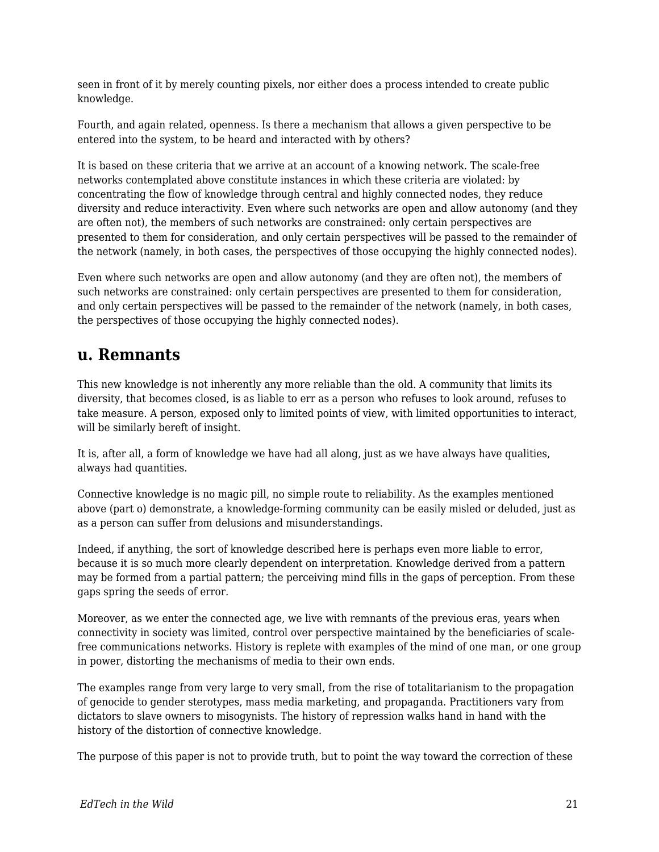seen in front of it by merely counting pixels, nor either does a process intended to create public knowledge.

Fourth, and again related, openness. Is there a mechanism that allows a given perspective to be entered into the system, to be heard and interacted with by others?

It is based on these criteria that we arrive at an account of a knowing network. The scale-free networks contemplated above constitute instances in which these criteria are violated: by concentrating the flow of knowledge through central and highly connected nodes, they reduce diversity and reduce interactivity. Even where such networks are open and allow autonomy (and they are often not), the members of such networks are constrained: only certain perspectives are presented to them for consideration, and only certain perspectives will be passed to the remainder of the network (namely, in both cases, the perspectives of those occupying the highly connected nodes).

Even where such networks are open and allow autonomy (and they are often not), the members of such networks are constrained: only certain perspectives are presented to them for consideration, and only certain perspectives will be passed to the remainder of the network (namely, in both cases, the perspectives of those occupying the highly connected nodes).

#### **u. Remnants**

This new knowledge is not inherently any more reliable than the old. A community that limits its diversity, that becomes closed, is as liable to err as a person who refuses to look around, refuses to take measure. A person, exposed only to limited points of view, with limited opportunities to interact, will be similarly bereft of insight.

It is, after all, a form of knowledge we have had all along, just as we have always have qualities, always had quantities.

Connective knowledge is no magic pill, no simple route to reliability. As the examples mentioned above (part o) demonstrate, a knowledge-forming community can be easily misled or deluded, just as as a person can suffer from delusions and misunderstandings.

Indeed, if anything, the sort of knowledge described here is perhaps even more liable to error, because it is so much more clearly dependent on interpretation. Knowledge derived from a pattern may be formed from a partial pattern; the perceiving mind fills in the gaps of perception. From these gaps spring the seeds of error.

Moreover, as we enter the connected age, we live with remnants of the previous eras, years when connectivity in society was limited, control over perspective maintained by the beneficiaries of scalefree communications networks. History is replete with examples of the mind of one man, or one group in power, distorting the mechanisms of media to their own ends.

The examples range from very large to very small, from the rise of totalitarianism to the propagation of genocide to gender sterotypes, mass media marketing, and propaganda. Practitioners vary from dictators to slave owners to misogynists. The history of repression walks hand in hand with the history of the distortion of connective knowledge.

The purpose of this paper is not to provide truth, but to point the way toward the correction of these